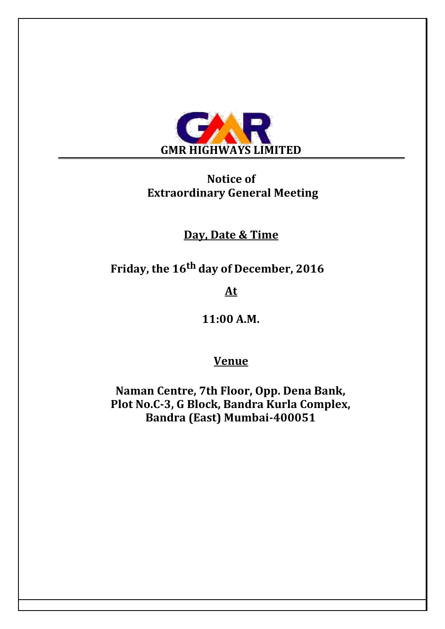

# **Notice of Extraordinary General Meeting**

## **Day, Date & Time**

**Friday, the 16th day of December, 2016**

**At**

**11:00 A.M.**

## **Venue**

**Naman Centre, 7th Floor, Opp. Dena Bank, Plot No.C-3, G Block, Bandra Kurla Complex, Bandra (East) Mumbai-400051**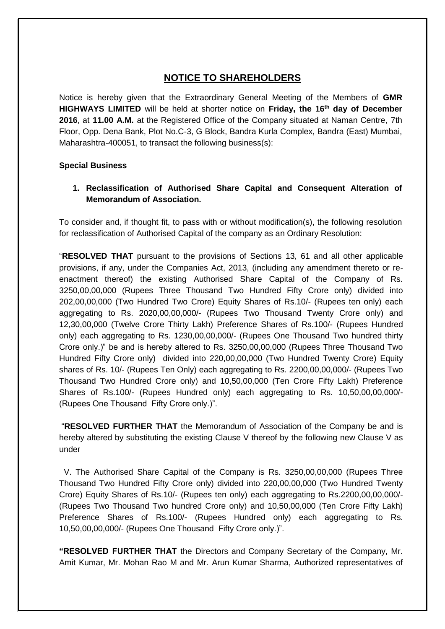### **NOTICE TO SHAREHOLDERS**

Notice is hereby given that the Extraordinary General Meeting of the Members of **GMR HIGHWAYS LIMITED** will be held at shorter notice on **Friday, the 16th day of December 2016**, at **11.00 A.M.** at the Registered Office of the Company situated at Naman Centre, 7th Floor, Opp. Dena Bank, Plot No.C-3, G Block, Bandra Kurla Complex, Bandra (East) Mumbai, Maharashtra-400051, to transact the following business(s):

#### **Special Business**

#### **1. Reclassification of Authorised Share Capital and Consequent Alteration of Memorandum of Association.**

To consider and, if thought fit, to pass with or without modification(s), the following resolution for reclassification of Authorised Capital of the company as an Ordinary Resolution:

"**RESOLVED THAT** pursuant to the provisions of Sections 13, 61 and all other applicable provisions, if any, under the Companies Act, 2013, (including any amendment thereto or reenactment thereof) the existing Authorised Share Capital of the Company of Rs. 3250,00,00,000 (Rupees Three Thousand Two Hundred Fifty Crore only) divided into 202,00,00,000 (Two Hundred Two Crore) Equity Shares of Rs.10/- (Rupees ten only) each aggregating to Rs. 2020,00,00,000/- (Rupees Two Thousand Twenty Crore only) and 12,30,00,000 (Twelve Crore Thirty Lakh) Preference Shares of Rs.100/- (Rupees Hundred only) each aggregating to Rs. 1230,00,00,000/- (Rupees One Thousand Two hundred thirty Crore only.)" be and is hereby altered to Rs. 3250,00,00,000 (Rupees Three Thousand Two Hundred Fifty Crore only) divided into 220,00,00,000 (Two Hundred Twenty Crore) Equity shares of Rs. 10/- (Rupees Ten Only) each aggregating to Rs. 2200,00,00,000/- (Rupees Two Thousand Two Hundred Crore only) and 10,50,00,000 (Ten Crore Fifty Lakh) Preference Shares of Rs.100/- (Rupees Hundred only) each aggregating to Rs. 10,50,00,00,000/- (Rupees One Thousand Fifty Crore only.)".

"**RESOLVED FURTHER THAT** the Memorandum of Association of the Company be and is hereby altered by substituting the existing Clause V thereof by the following new Clause V as under

 V. The Authorised Share Capital of the Company is Rs. 3250,00,00,000 (Rupees Three Thousand Two Hundred Fifty Crore only) divided into 220,00,00,000 (Two Hundred Twenty Crore) Equity Shares of Rs.10/- (Rupees ten only) each aggregating to Rs.2200,00,00,000/- (Rupees Two Thousand Two hundred Crore only) and 10,50,00,000 (Ten Crore Fifty Lakh) Preference Shares of Rs.100/- (Rupees Hundred only) each aggregating to Rs. 10,50,00,00,000/- (Rupees One Thousand Fifty Crore only.)".

**"RESOLVED FURTHER THAT** the Directors and Company Secretary of the Company, Mr. Amit Kumar, Mr. Mohan Rao M and Mr. Arun Kumar Sharma, Authorized representatives of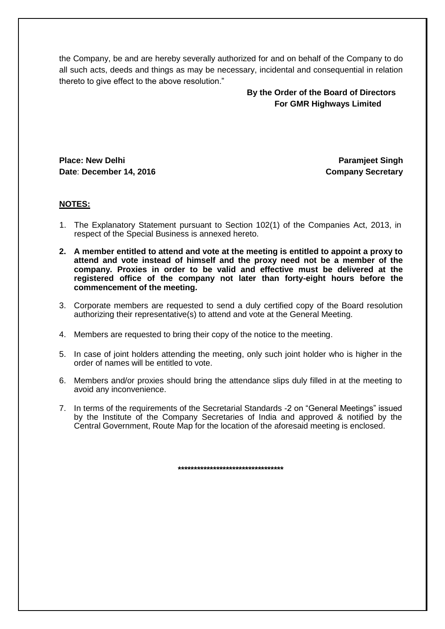the Company, be and are hereby severally authorized for and on behalf of the Company to do all such acts, deeds and things as may be necessary, incidental and consequential in relation thereto to give effect to the above resolution."

> **By the Order of the Board of Directors For GMR Highways Limited**

**Place: New Delhi Date**: **December 14, 2016**

**Paramjeet Singh Company Secretary**

#### **NOTES:**

- 1. The Explanatory Statement pursuant to Section 102(1) of the Companies Act, 2013, in respect of the Special Business is annexed hereto.
- **2. A member entitled to attend and vote at the meeting is entitled to appoint a proxy to attend and vote instead of himself and the proxy need not be a member of the company. Proxies in order to be valid and effective must be delivered at the registered office of the company not later than forty-eight hours before the commencement of the meeting.**
- 3. Corporate members are requested to send a duly certified copy of the Board resolution authorizing their representative(s) to attend and vote at the General Meeting.
- 4. Members are requested to bring their copy of the notice to the meeting.
- 5. In case of joint holders attending the meeting, only such joint holder who is higher in the order of names will be entitled to vote.
- 6. Members and/or proxies should bring the attendance slips duly filled in at the meeting to avoid any inconvenience.
- 7. In terms of the requirements of the Secretarial Standards -2 on "General Meetings" issued by the Institute of the Company Secretaries of India and approved & notified by the Central Government, Route Map for the location of the aforesaid meeting is enclosed.

**\*\*\*\*\*\*\*\*\*\*\*\*\*\*\*\*\*\*\*\*\*\*\*\*\*\*\*\*\*\*\*\*\***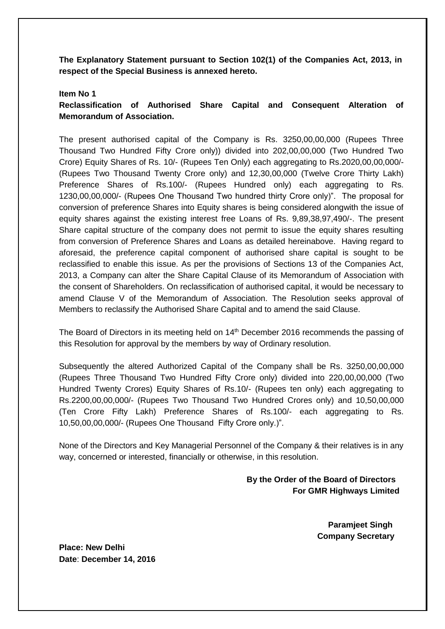**The Explanatory Statement pursuant to Section 102(1) of the Companies Act, 2013, in respect of the Special Business is annexed hereto.** 

#### **Item No 1**

**Reclassification of Authorised Share Capital and Consequent Alteration of Memorandum of Association.** 

The present authorised capital of the Company is Rs. 3250,00,00,000 (Rupees Three Thousand Two Hundred Fifty Crore only)) divided into 202,00,00,000 (Two Hundred Two Crore) Equity Shares of Rs. 10/- (Rupees Ten Only) each aggregating to Rs.2020,00,00,000/- (Rupees Two Thousand Twenty Crore only) and 12,30,00,000 (Twelve Crore Thirty Lakh) Preference Shares of Rs.100/- (Rupees Hundred only) each aggregating to Rs. 1230,00,00,000/- (Rupees One Thousand Two hundred thirty Crore only)". The proposal for conversion of preference Shares into Equity shares is being considered alongwith the issue of equity shares against the existing interest free Loans of Rs. 9,89,38,97,490/-. The present Share capital structure of the company does not permit to issue the equity shares resulting from conversion of Preference Shares and Loans as detailed hereinabove. Having regard to aforesaid, the preference capital component of authorised share capital is sought to be reclassified to enable this issue. As per the provisions of Sections 13 of the Companies Act, 2013, a Company can alter the Share Capital Clause of its Memorandum of Association with the consent of Shareholders. On reclassification of authorised capital, it would be necessary to amend Clause V of the Memorandum of Association. The Resolution seeks approval of Members to reclassify the Authorised Share Capital and to amend the said Clause.

The Board of Directors in its meeting held on 14<sup>th</sup> December 2016 recommends the passing of this Resolution for approval by the members by way of Ordinary resolution.

Subsequently the altered Authorized Capital of the Company shall be Rs. 3250,00,00,000 (Rupees Three Thousand Two Hundred Fifty Crore only) divided into 220,00,00,000 (Two Hundred Twenty Crores) Equity Shares of Rs.10/- (Rupees ten only) each aggregating to Rs.2200,00,00,000/- (Rupees Two Thousand Two Hundred Crores only) and 10,50,00,000 (Ten Crore Fifty Lakh) Preference Shares of Rs.100/- each aggregating to Rs. 10,50,00,00,000/- (Rupees One Thousand Fifty Crore only.)".

None of the Directors and Key Managerial Personnel of the Company & their relatives is in any way, concerned or interested, financially or otherwise, in this resolution.

> **By the Order of the Board of Directors For GMR Highways Limited**

> > **Paramjeet Singh Company Secretary**

**Place: New Delhi Date**: **December 14, 2016**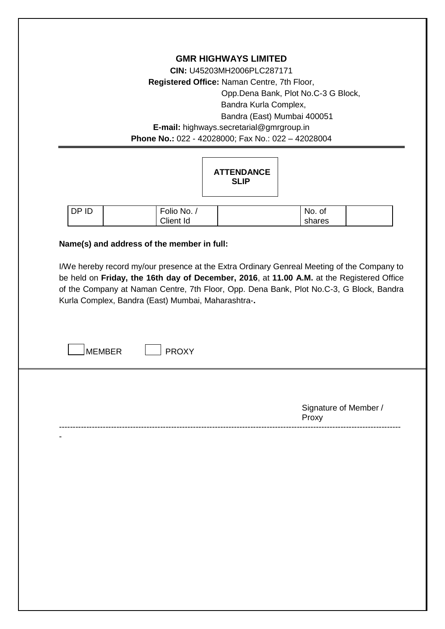**GMR HIGHWAYS LIMITED CIN:** U45203MH2006PLC287171 **Registered Office:** Naman Centre, 7th Floor, Opp.Dena Bank, Plot No.C-3 G Block, Bandra Kurla Complex, Bandra (East) Mumbai 400051 **E-mail:** highways.secretarial@gmrgroup.in **Phone No.:** 022 - 42028000; Fax No.: 022 – 42028004

|             |             | <b>ATTENDANCE</b><br><b>SLIP</b> |        |  |
|-------------|-------------|----------------------------------|--------|--|
| <b>DPID</b> | Folio No. / |                                  | No. of |  |
|             | Client Id   |                                  | shares |  |

#### **Name(s) and address of the member in full:**

I/We hereby record my/our presence at the Extra Ordinary Genreal Meeting of the Company to be held on **Friday, the 16th day of December, 2016**, at **11.00 A.M.** at the Registered Office of the Company at Naman Centre, 7th Floor, Opp. Dena Bank, Plot No.C-3, G Block, Bandra Kurla Complex, Bandra (East) Mumbai, Maharashtra-**.**

-----------------------------------------------------------------------------------------------------------------------------

-

| Signature of Member / |  |
|-----------------------|--|
| Proxy                 |  |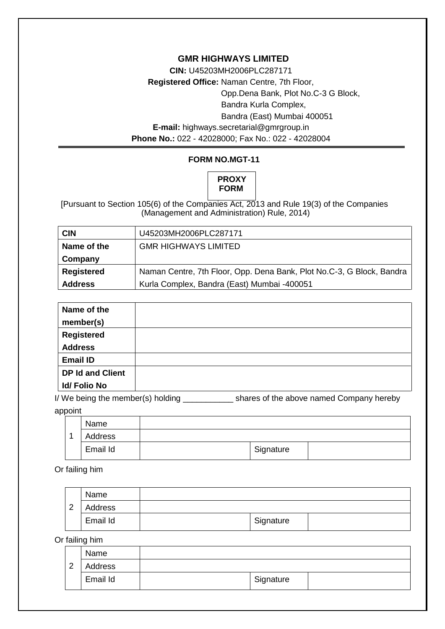#### **GMR HIGHWAYS LIMITED**

**CIN:** U45203MH2006PLC287171 **Registered Office:** Naman Centre, 7th Floor, Opp.Dena Bank, Plot No.C-3 G Block, Bandra Kurla Complex, Bandra (East) Mumbai 400051 **E-mail:** highways.secretarial@gmrgroup.in **Phone No.:** 022 - 42028000; Fax No.: 022 - 42028004

#### **FORM NO.MGT-11**

## **PROXY FORM**

[Pursuant to Section 105(6) of the Companies Act, 2013 and Rule 19(3) of the Companies (Management and Administration) Rule, 2014)

| <b>CIN</b>        | U45203MH2006PLC287171                                                 |
|-------------------|-----------------------------------------------------------------------|
| Name of the       | <b>GMR HIGHWAYS LIMITED</b>                                           |
| Company           |                                                                       |
| <b>Registered</b> | Naman Centre, 7th Floor, Opp. Dena Bank, Plot No.C-3, G Block, Bandra |
| <b>Address</b>    | Kurla Complex, Bandra (East) Mumbai -400051                           |

| Name of the             |  |
|-------------------------|--|
| member(s)               |  |
| <b>Registered</b>       |  |
| <b>Address</b>          |  |
| <b>Email ID</b>         |  |
| <b>DP Id and Client</b> |  |
| <b>Id/Folio No</b>      |  |

I/ We being the member(s) holding \_\_\_\_\_\_\_\_\_\_\_\_\_ shares of the above named Company hereby appoint

|                | Name     |           |  |
|----------------|----------|-----------|--|
| $\overline{A}$ | Address  |           |  |
|                | Email Id | Signature |  |

Or failing him

|        | Name     |           |  |
|--------|----------|-----------|--|
| $\sim$ | Address  |           |  |
|        | Email Id | Signature |  |

Or failing him

|   | Name     |           |
|---|----------|-----------|
| 2 | Address  |           |
|   | Email Id | Signature |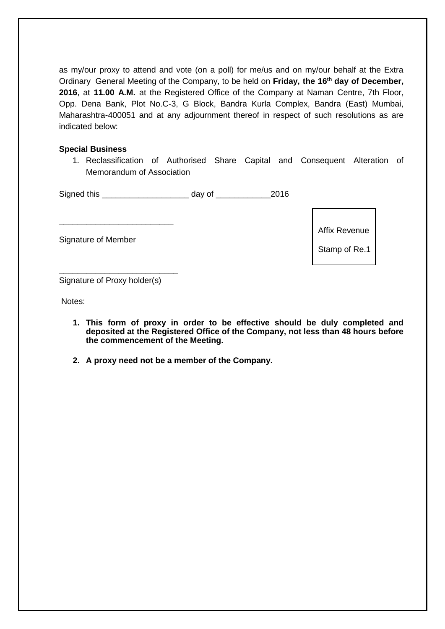as my/our proxy to attend and vote (on a poll) for me/us and on my/our behalf at the Extra Ordinary General Meeting of the Company, to be held on **Friday, the 16th day of December, 2016**, at **11.00 A.M.** at the Registered Office of the Company at Naman Centre, 7th Floor, Opp. Dena Bank, Plot No.C-3, G Block, Bandra Kurla Complex, Bandra (East) Mumbai, Maharashtra-400051 and at any adjournment thereof in respect of such resolutions as are indicated below:

#### **Special Business**

1. Reclassification of Authorised Share Capital and Consequent Alteration of Memorandum of Association

| Signed this | day of | 2016 |  |
|-------------|--------|------|--|
|             |        |      |  |
|             |        |      |  |

Signature of Member

Affix Revenue

Stamp of Re.1

**\_\_\_\_\_\_\_\_\_\_\_\_\_\_\_\_\_\_\_\_\_\_\_\_\_\_** Signature of Proxy holder(s)

Notes:

- **1. This form of proxy in order to be effective should be duly completed and deposited at the Registered Office of the Company, not less than 48 hours before the commencement of the Meeting.**
- **2. A proxy need not be a member of the Company.**